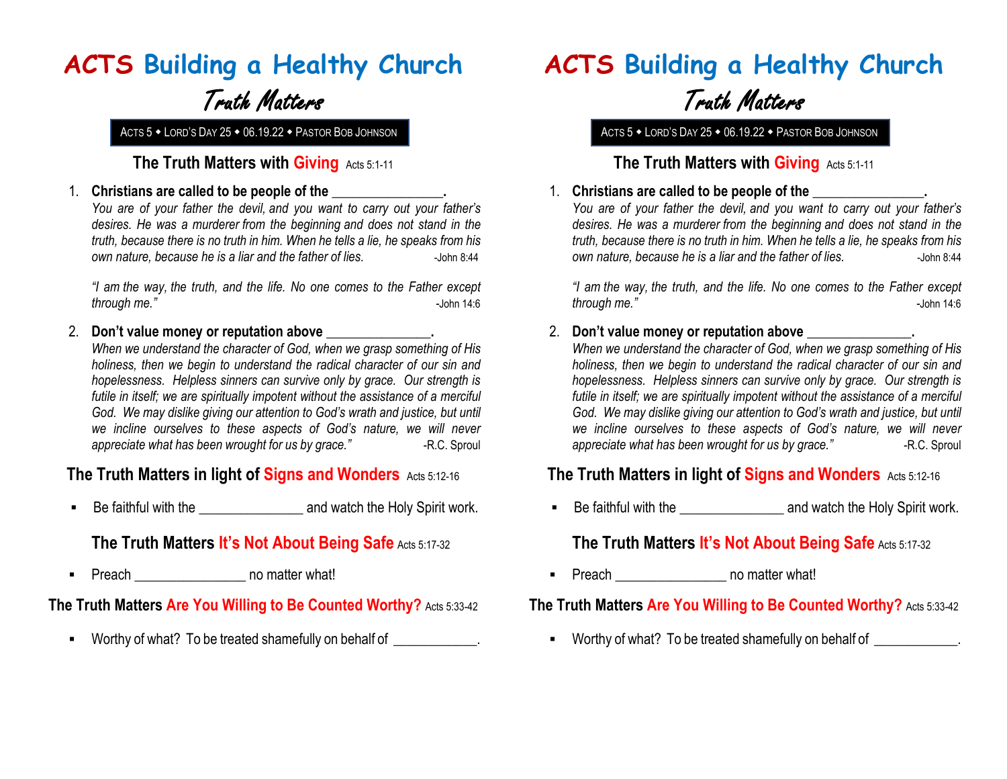# **ACTS Building a Healthy Church**  Truth Matters

#### **The Truth Matters with Giving** Acts 5:1-11

#### 1. **Christians are called to be people of the \_\_\_\_\_\_\_\_\_\_\_\_\_\_\_\_.**

*You are of your father the devil, and you want to carry out your father's desires. He was a murderer from the beginning and does not stand in the truth, because there is no truth in him. When he tells a lie, he speaks from his*  own nature, because he is a liar and the father of lies. **In the State 19th** 8:44

*"I am the way, the truth, and the life. No one comes to the Father except through me." -*John 14:6

#### 2. **Don't value money or reputation above \_\_\_\_\_\_\_\_\_\_\_\_\_\_\_.**

*When we understand the character of God, when we grasp something of His holiness, then we begin to understand the radical character of our sin and hopelessness. Helpless sinners can survive only by grace. Our strength is futile in itself; we are spiritually impotent without the assistance of a merciful*  God. We may dislike giving our attention to God's wrath and justice, but until *we incline ourselves to these aspects of God's nature, we will never appreciate what has been wrought for us by grace."* P.C. Sproul

#### **The Truth Matters in light of Signs and Wonders** Acts 5:12-16

Be faithful with the **EXALL ACCES** and watch the Holy Spirit work.

#### **The Truth Matters It's Not About Being Safe** Acts 5:17-32

• Preach no matter what!

### **The Truth Matters Are You Willing to Be Counted Worthy?** Acts 5:33-42

• Worthy of what? To be treated shamefully on behalf of \_\_\_\_\_\_\_\_\_\_\_\_.

# **ACTS Building a Healthy Church**

# Truth Matters

ACTS 5 . LORD'S DAY 25 . 06.19.22 . PASTOR BOB JOHNSON ACTS 5 . LORD'S DAY 25 . 06.19.22 . PASTOR BOB JOHNSON

#### **The Truth Matters with Giving** Acts 5:1-11

#### 1. **Christians are called to be people of the \_\_\_\_\_\_\_\_\_\_\_\_\_\_\_\_.**

*You are of your father the devil, and you want to carry out your father's desires. He was a murderer from the beginning and does not stand in the truth, because there is no truth in him. When he tells a lie, he speaks from his*  own nature, because he is a liar and the father of lies.

*"I am the way, the truth, and the life. No one comes to the Father except through me." -*John 14:6

#### 2. **Don't value money or reputation above**

*When we understand the character of God, when we grasp something of His holiness, then we begin to understand the radical character of our sin and hopelessness. Helpless sinners can survive only by grace. Our strength is futile in itself; we are spiritually impotent without the assistance of a merciful*  God. We may dislike giving our attention to God's wrath and justice, but until *we incline ourselves to these aspects of God's nature, we will never appreciate what has been wrought for us by grace."* P.C. Sproul

## **The Truth Matters in light of Signs and Wonders** Acts 5:12-16

Be faithful with the **EXALL ACCES** and watch the Holy Spirit work.

## **The Truth Matters It's Not About Being Safe** Acts 5:17-32

• Preach no matter what!

### **The Truth Matters Are You Willing to Be Counted Worthy?** Acts 5:33-42

• Worthy of what? To be treated shamefully on behalf of \_\_\_\_\_\_\_\_\_\_\_\_.